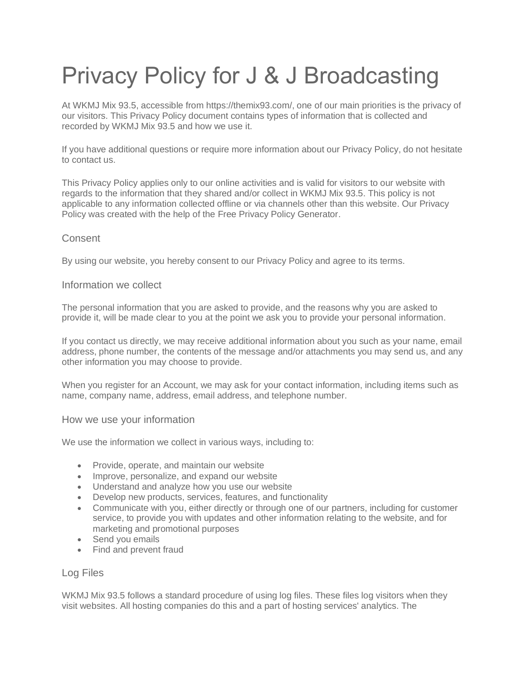# Privacy Policy for J & J Broadcasting

At WKMJ Mix 93.5, accessible from https://themix93.com/, one of our main priorities is the privacy of our visitors. This Privacy Policy document contains types of information that is collected and recorded by WKMJ Mix 93.5 and how we use it.

If you have additional questions or require more information about our Privacy Policy, do not hesitate to contact us.

This Privacy Policy applies only to our online activities and is valid for visitors to our website with regards to the information that they shared and/or collect in WKMJ Mix 93.5. This policy is not applicable to any information collected offline or via channels other than this website. Our Privacy Policy was created with the help of the [Free Privacy Policy Generator.](https://www.privacypolicygenerator.info/)

# **Consent**

By using our website, you hereby consent to our Privacy Policy and agree to its terms.

#### Information we collect

The personal information that you are asked to provide, and the reasons why you are asked to provide it, will be made clear to you at the point we ask you to provide your personal information.

If you contact us directly, we may receive additional information about you such as your name, email address, phone number, the contents of the message and/or attachments you may send us, and any other information you may choose to provide.

When you register for an Account, we may ask for your contact information, including items such as name, company name, address, email address, and telephone number.

#### How we use your information

We use the information we collect in various ways, including to:

- Provide, operate, and maintain our website
- Improve, personalize, and expand our website
- Understand and analyze how you use our website
- Develop new products, services, features, and functionality
- Communicate with you, either directly or through one of our partners, including for customer service, to provide you with updates and other information relating to the website, and for marketing and promotional purposes
- Send you emails
- Find and prevent fraud

#### Log Files

WKMJ Mix 93.5 follows a standard procedure of using log files. These files log visitors when they visit websites. All hosting companies do this and a part of hosting services' analytics. The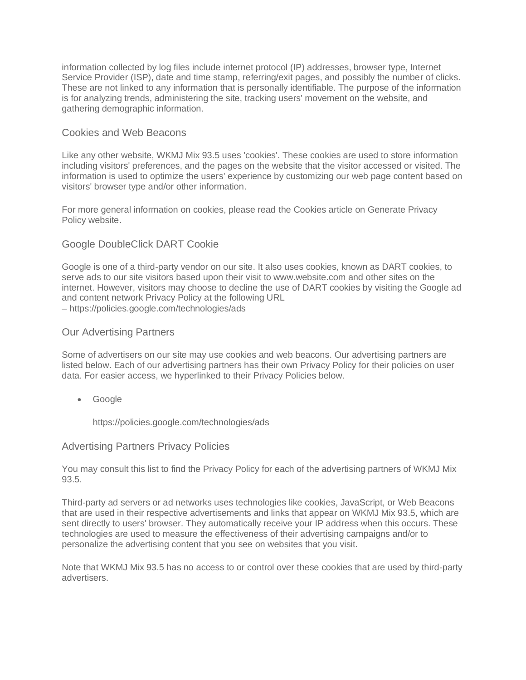information collected by log files include internet protocol (IP) addresses, browser type, Internet Service Provider (ISP), date and time stamp, referring/exit pages, and possibly the number of clicks. These are not linked to any information that is personally identifiable. The purpose of the information is for analyzing trends, administering the site, tracking users' movement on the website, and gathering demographic information.

### Cookies and Web Beacons

Like any other website, WKMJ Mix 93.5 uses 'cookies'. These cookies are used to store information including visitors' preferences, and the pages on the website that the visitor accessed or visited. The information is used to optimize the users' experience by customizing our web page content based on visitors' browser type and/or other information.

For more general information on cookies, please read [the Cookies article on Generate Privacy](https://www.generateprivacypolicy.com/#cookies)  [Policy website.](https://www.generateprivacypolicy.com/#cookies)

# Google DoubleClick DART Cookie

Google is one of a third-party vendor on our site. It also uses cookies, known as DART cookies, to serve ads to our site visitors based upon their visit to www.website.com and other sites on the internet. However, visitors may choose to decline the use of DART cookies by visiting the Google ad and content network Privacy Policy at the following URL – <https://policies.google.com/technologies/ads>

#### Our Advertising Partners

Some of advertisers on our site may use cookies and web beacons. Our advertising partners are listed below. Each of our advertising partners has their own Privacy Policy for their policies on user data. For easier access, we hyperlinked to their Privacy Policies below.

• Google

<https://policies.google.com/technologies/ads>

#### Advertising Partners Privacy Policies

You may consult this list to find the Privacy Policy for each of the advertising partners of WKMJ Mix 93.5.

Third-party ad servers or ad networks uses technologies like cookies, JavaScript, or Web Beacons that are used in their respective advertisements and links that appear on WKMJ Mix 93.5, which are sent directly to users' browser. They automatically receive your IP address when this occurs. These technologies are used to measure the effectiveness of their advertising campaigns and/or to personalize the advertising content that you see on websites that you visit.

Note that WKMJ Mix 93.5 has no access to or control over these cookies that are used by third-party advertisers.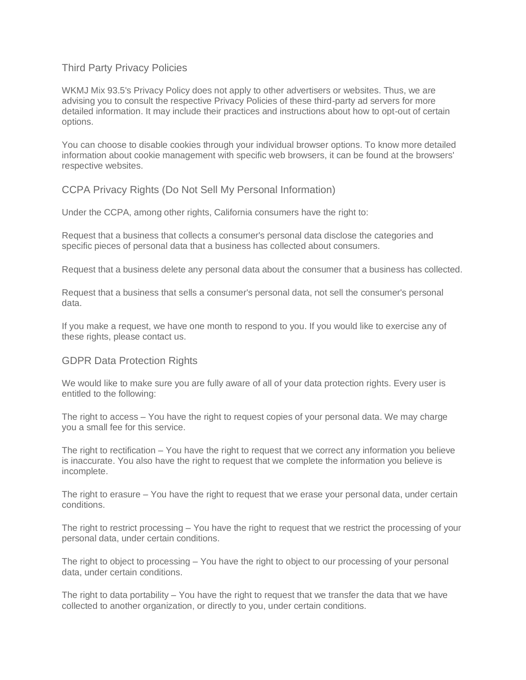## Third Party Privacy Policies

WKMJ Mix 93.5's Privacy Policy does not apply to other advertisers or websites. Thus, we are advising you to consult the respective Privacy Policies of these third-party ad servers for more detailed information. It may include their practices and instructions about how to opt-out of certain options.

You can choose to disable cookies through your individual browser options. To know more detailed information about cookie management with specific web browsers, it can be found at the browsers' respective websites.

CCPA Privacy Rights (Do Not Sell My Personal Information)

Under the CCPA, among other rights, California consumers have the right to:

Request that a business that collects a consumer's personal data disclose the categories and specific pieces of personal data that a business has collected about consumers.

Request that a business delete any personal data about the consumer that a business has collected.

Request that a business that sells a consumer's personal data, not sell the consumer's personal data.

If you make a request, we have one month to respond to you. If you would like to exercise any of these rights, please contact us.

# GDPR Data Protection Rights

We would like to make sure you are fully aware of all of your data protection rights. Every user is entitled to the following:

The right to access – You have the right to request copies of your personal data. We may charge you a small fee for this service.

The right to rectification – You have the right to request that we correct any information you believe is inaccurate. You also have the right to request that we complete the information you believe is incomplete.

The right to erasure – You have the right to request that we erase your personal data, under certain conditions.

The right to restrict processing – You have the right to request that we restrict the processing of your personal data, under certain conditions.

The right to object to processing – You have the right to object to our processing of your personal data, under certain conditions.

The right to data portability – You have the right to request that we transfer the data that we have collected to another organization, or directly to you, under certain conditions.